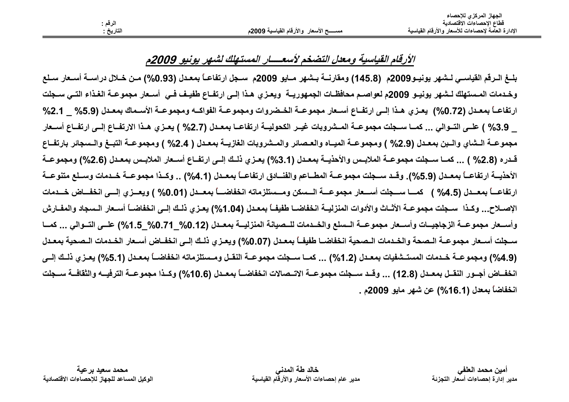|           |                                            | الجهاز المركزي للإحصاء                            |
|-----------|--------------------------------------------|---------------------------------------------------|
| الرقم :   |                                            | فطاع الإحصاءات الاقتصادية                         |
| التاريخ : | مســــــح الأسعار  والأرقام القياسية 2009م | الإدارة العامة لإحصاءات للأسعار والأرقام القياسية |
|           |                                            |                                                   |

## الأرقام القياسية ومعلل التضخم لأسعــــار المستهلك لشهر يونيو 2009م

بلــغ الــرقم القياســي لــشهر يونيــو2009م (145.8) ومقارنـــة بــشهر مــايو 2009م ســجل ارتفاعــأ بمعـدل (0.93%) مــن خــلال دراســة أســعار ســلـع وخدمات المستهلك لـشهر يونيـو 2009م لعواصـم محافظـات الجمهوريــة ويعـزى هـذا إلـي ارتفـاع طفيـف فـي أسـعار مجموعـة الغـذاء التـي سـجلت ارتفاعـاً بمعـدل (0.72%) يعـزي هـذا إلــي ارتفــاع أســعار مجموعــة الخــضروات ومجموعــة الفواكــه ومجموعــة الأسـماك بمعـدل (5.9% \_ 2.1% 3.9% ) علـى التــوالي ... كمــا ســجلت مجموعــة المــشروبات غيــر الكحوليــة ارتفاعــا بمعـدل (2.7% ) يعـزي هـذا الارتفــاع إلــي ارتفــاع أســعار مجموعــة الـشاي والـبن بمعـدل (2.9% ) ومجموعــة الميــاه والعـصائر والمـشروبات الغازيــة بمعـدل ( 2.4% ) ومجموعــة التبــغ والـسجائر بارتفــاع قـدره (2.8% ) ... كمــا ســجلت مجموعــة الملابـس والأحذيــة بمعـدل (3.1%) يعـزي ذلــك إلــي ارتفــاع أسـعار الملابـس بمعـدل (2.6%) ومجموعــة الأحذيـــة ارتفاعـــاً بمعــدل (5.9%). وقــد ســجلت مجموعـــة المطــاعم والفنـــادق ارتفاعـــاً بمعــدل (4.1%) .. وكــذا مجموعـــة خــدمات وســلـع متنوعــة ارتفاعـــاً بمعـــدل (4.5% ) كمــــا ســـجلت أســـعار مجموعـــة الـــسكن ومـــستلزماته انخفاضـــاً بمعــدل (0.01% ) ويعــزى إلـــي انخفـــاض خـــدمات الإصــلاح... وكـذا سـجلت مجموعــة الأثــاث والأدوات المنزليــة انخفاضــا طفيفــاً بمعـدل (1.04%) يعـزي ذلـك إلــي انخفاضــاً أسـعار الـسجاد والمفــارش وأســعار مجموعــة الزجاجيــات وأســعار مجموعــة الــسلع والخــدمات للــصيانـة المنزليــة بمعــدل (0.12% 1.5%)/ 2-0%) علــي التــوالي ... كمــا سـجلت أسـعار مجموعــة الـصحة والخـدمات الـصحية انخفاضــا طفيفــأ بمعـدل (0.07%) ويعـز ي ذلـك إلــي انخفــاض أسـعار الخـدمات الـصحية بمعـدل (4.9%) ومجموعــة خــدمات المستــشفيات بمعــدل (1.2%) ... كمــا ســجلت مجموعــة النقــل ومــستلزماته انخفاضــاً بمعـدل (5.1%) يعــزي ذلــك إلــي انخفــاض أجــور النقــل بمعــدل (12.8) ... وقــد ســجلت مجموعــة الاتــصالات انخفاضــاً بمعــدل (10.6%) وكــذا مجموعــة الترفيـــه والثقافــة ســجلت انخفاضاً بمعدل (16.1%) عن شهر مايو 2009م .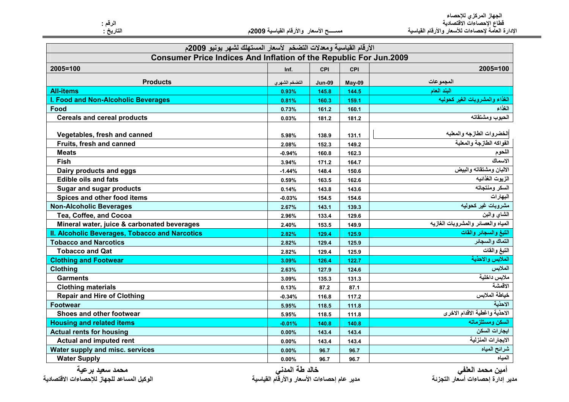الجهاز المركزي للإحصاء<br>قطاع الإحصاءات الاقتصادية<br>الإدارة العامة لإحصاءات للأسعار والأرقام القياسية

مســـــح الأسعار والأرقام القياسية 2009م

الرقم :<br>التاريخ :

| <b>Consumer Price Indices And Inflation of the Republic For Jun.2009</b><br>2005=100<br><b>CPI</b><br>CPI<br>Inf.<br>المجموعات<br><b>Products</b><br>التضخم الشهري<br>May-09<br><b>Jun-09</b><br>البند العام<br><b>All-items</b><br>144.5<br>0.93%<br>145.8<br>I. Food and Non-Alcoholic Beverages<br>159.1<br>0.81%<br>160.3<br>Food<br>161.2<br>160.1<br>0.73%<br><b>Cereals and cereal products</b><br>181.2<br>181.2<br>0.03%<br>Vegetables, fresh and canned<br>138.9<br>131.1<br>5.98%<br>Fruits, fresh and canned<br>152.3<br>149.2<br>2.08%<br><b>Meats</b><br>160.8<br>162.3<br>$-0.94%$<br><b>Fish</b><br>171.2<br>164.7<br>3.94%<br>Dairy products and eggs<br>148.4<br>150.6<br>$-1.44%$<br><b>Edible oils and fats</b><br>163.5<br>162.6<br>0.59%<br><b>Sugar and sugar products</b><br>0.14%<br>143.8<br>143.6<br>Spices and other food items<br>154.5<br>154.6<br>$-0.03%$<br><b>Non-Alcoholic Beverages</b><br>143.1<br>139.3<br>2.67%<br>Tea, Coffee, and Cocoa<br>129.6<br>2.96%<br>133.4<br>Mineral water, juice & carbonated beverages<br>149.9<br>2.40%<br>153.5<br>II. Alcoholic Beverages, Tobacco and Narcotics<br>2.82%<br>129.4<br>125.9<br><b>Tobacco and Narcotics</b><br>2.82%<br>129.4<br>125.9<br><b>Tobacco and Qat</b><br>2.82%<br>129.4<br>125.9<br><b>Clothing and Footwear</b><br>122.7<br>3.09%<br>126.4<br><b>Clothing</b><br>2.63%<br>127.9<br>124.6 | الأرقام القياسية ومعدلات التضخم لأسعار المستهلك لشهر يونيو 2009م |       |       |       |                                    |
|---------------------------------------------------------------------------------------------------------------------------------------------------------------------------------------------------------------------------------------------------------------------------------------------------------------------------------------------------------------------------------------------------------------------------------------------------------------------------------------------------------------------------------------------------------------------------------------------------------------------------------------------------------------------------------------------------------------------------------------------------------------------------------------------------------------------------------------------------------------------------------------------------------------------------------------------------------------------------------------------------------------------------------------------------------------------------------------------------------------------------------------------------------------------------------------------------------------------------------------------------------------------------------------------------------------------------------------------------------------------------------------------|------------------------------------------------------------------|-------|-------|-------|------------------------------------|
|                                                                                                                                                                                                                                                                                                                                                                                                                                                                                                                                                                                                                                                                                                                                                                                                                                                                                                                                                                                                                                                                                                                                                                                                                                                                                                                                                                                             |                                                                  |       |       |       |                                    |
|                                                                                                                                                                                                                                                                                                                                                                                                                                                                                                                                                                                                                                                                                                                                                                                                                                                                                                                                                                                                                                                                                                                                                                                                                                                                                                                                                                                             |                                                                  |       |       |       | 2005=100                           |
|                                                                                                                                                                                                                                                                                                                                                                                                                                                                                                                                                                                                                                                                                                                                                                                                                                                                                                                                                                                                                                                                                                                                                                                                                                                                                                                                                                                             |                                                                  |       |       |       |                                    |
|                                                                                                                                                                                                                                                                                                                                                                                                                                                                                                                                                                                                                                                                                                                                                                                                                                                                                                                                                                                                                                                                                                                                                                                                                                                                                                                                                                                             |                                                                  |       |       |       |                                    |
|                                                                                                                                                                                                                                                                                                                                                                                                                                                                                                                                                                                                                                                                                                                                                                                                                                                                                                                                                                                                                                                                                                                                                                                                                                                                                                                                                                                             |                                                                  |       |       |       | الغذاء والمشروبات الغير كحوليه     |
|                                                                                                                                                                                                                                                                                                                                                                                                                                                                                                                                                                                                                                                                                                                                                                                                                                                                                                                                                                                                                                                                                                                                                                                                                                                                                                                                                                                             |                                                                  |       |       |       | الغذاء                             |
|                                                                                                                                                                                                                                                                                                                                                                                                                                                                                                                                                                                                                                                                                                                                                                                                                                                                                                                                                                                                                                                                                                                                                                                                                                                                                                                                                                                             |                                                                  |       |       |       | الحبوب ومشتقاته                    |
|                                                                                                                                                                                                                                                                                                                                                                                                                                                                                                                                                                                                                                                                                                                                                                                                                                                                                                                                                                                                                                                                                                                                                                                                                                                                                                                                                                                             |                                                                  |       |       |       |                                    |
|                                                                                                                                                                                                                                                                                                                                                                                                                                                                                                                                                                                                                                                                                                                                                                                                                                                                                                                                                                                                                                                                                                                                                                                                                                                                                                                                                                                             |                                                                  |       |       |       | الخضروات الطازجه والمعلبه          |
|                                                                                                                                                                                                                                                                                                                                                                                                                                                                                                                                                                                                                                                                                                                                                                                                                                                                                                                                                                                                                                                                                                                                                                                                                                                                                                                                                                                             |                                                                  |       |       |       | الفواكه الطازجة والمعلبة           |
|                                                                                                                                                                                                                                                                                                                                                                                                                                                                                                                                                                                                                                                                                                                                                                                                                                                                                                                                                                                                                                                                                                                                                                                                                                                                                                                                                                                             |                                                                  |       |       |       | اللحوم                             |
|                                                                                                                                                                                                                                                                                                                                                                                                                                                                                                                                                                                                                                                                                                                                                                                                                                                                                                                                                                                                                                                                                                                                                                                                                                                                                                                                                                                             |                                                                  |       |       |       | الاسماك                            |
|                                                                                                                                                                                                                                                                                                                                                                                                                                                                                                                                                                                                                                                                                                                                                                                                                                                                                                                                                                                                                                                                                                                                                                                                                                                                                                                                                                                             |                                                                  |       |       |       | الالبان ومشتقاته والبيض            |
|                                                                                                                                                                                                                                                                                                                                                                                                                                                                                                                                                                                                                                                                                                                                                                                                                                                                                                                                                                                                                                                                                                                                                                                                                                                                                                                                                                                             |                                                                  |       |       |       | الزيوت الغذائيه                    |
|                                                                                                                                                                                                                                                                                                                                                                                                                                                                                                                                                                                                                                                                                                                                                                                                                                                                                                                                                                                                                                                                                                                                                                                                                                                                                                                                                                                             |                                                                  |       |       |       | السكر ومنتجاته                     |
|                                                                                                                                                                                                                                                                                                                                                                                                                                                                                                                                                                                                                                                                                                                                                                                                                                                                                                                                                                                                                                                                                                                                                                                                                                                                                                                                                                                             |                                                                  |       |       |       | البهارات                           |
|                                                                                                                                                                                                                                                                                                                                                                                                                                                                                                                                                                                                                                                                                                                                                                                                                                                                                                                                                                                                                                                                                                                                                                                                                                                                                                                                                                                             |                                                                  |       |       |       | مشروبات غير كحوليه                 |
|                                                                                                                                                                                                                                                                                                                                                                                                                                                                                                                                                                                                                                                                                                                                                                                                                                                                                                                                                                                                                                                                                                                                                                                                                                                                                                                                                                                             |                                                                  |       |       |       | الشاي والبن                        |
|                                                                                                                                                                                                                                                                                                                                                                                                                                                                                                                                                                                                                                                                                                                                                                                                                                                                                                                                                                                                                                                                                                                                                                                                                                                                                                                                                                                             |                                                                  |       |       |       | المياه والعصائر والمشروبات الغازيه |
|                                                                                                                                                                                                                                                                                                                                                                                                                                                                                                                                                                                                                                                                                                                                                                                                                                                                                                                                                                                                                                                                                                                                                                                                                                                                                                                                                                                             |                                                                  |       |       |       | التبغ والسجائر والقات              |
|                                                                                                                                                                                                                                                                                                                                                                                                                                                                                                                                                                                                                                                                                                                                                                                                                                                                                                                                                                                                                                                                                                                                                                                                                                                                                                                                                                                             |                                                                  |       |       |       | التماك والسجائر                    |
|                                                                                                                                                                                                                                                                                                                                                                                                                                                                                                                                                                                                                                                                                                                                                                                                                                                                                                                                                                                                                                                                                                                                                                                                                                                                                                                                                                                             |                                                                  |       |       |       | التبغ والقات                       |
|                                                                                                                                                                                                                                                                                                                                                                                                                                                                                                                                                                                                                                                                                                                                                                                                                                                                                                                                                                                                                                                                                                                                                                                                                                                                                                                                                                                             |                                                                  |       |       |       | الملابس والاحذية                   |
|                                                                                                                                                                                                                                                                                                                                                                                                                                                                                                                                                                                                                                                                                                                                                                                                                                                                                                                                                                                                                                                                                                                                                                                                                                                                                                                                                                                             |                                                                  |       |       |       | الملابس                            |
|                                                                                                                                                                                                                                                                                                                                                                                                                                                                                                                                                                                                                                                                                                                                                                                                                                                                                                                                                                                                                                                                                                                                                                                                                                                                                                                                                                                             | <b>Garments</b>                                                  | 3.09% | 135.3 | 131.3 | ملابس داخلية                       |
| <b>Clothing materials</b><br>0.13%<br>87.2<br>87.1                                                                                                                                                                                                                                                                                                                                                                                                                                                                                                                                                                                                                                                                                                                                                                                                                                                                                                                                                                                                                                                                                                                                                                                                                                                                                                                                          |                                                                  |       |       |       | الاقمشة                            |
| <b>Repair and Hire of Clothing</b><br>116.8<br>117.2<br>$-0.34%$                                                                                                                                                                                                                                                                                                                                                                                                                                                                                                                                                                                                                                                                                                                                                                                                                                                                                                                                                                                                                                                                                                                                                                                                                                                                                                                            |                                                                  |       |       |       | خياطة الملابس                      |
| <b>Footwear</b><br>118.5<br>111.8<br>5.95%                                                                                                                                                                                                                                                                                                                                                                                                                                                                                                                                                                                                                                                                                                                                                                                                                                                                                                                                                                                                                                                                                                                                                                                                                                                                                                                                                  |                                                                  |       |       |       | الاحذية                            |
| Shoes and other footwear<br>118.5<br>111.8<br>5.95%                                                                                                                                                                                                                                                                                                                                                                                                                                                                                                                                                                                                                                                                                                                                                                                                                                                                                                                                                                                                                                                                                                                                                                                                                                                                                                                                         |                                                                  |       |       |       | الاحذية واغطية الاقدام الاخرى      |
| <b>Housing and related items</b><br>140.8<br>$-0.01%$<br>140.8                                                                                                                                                                                                                                                                                                                                                                                                                                                                                                                                                                                                                                                                                                                                                                                                                                                                                                                                                                                                                                                                                                                                                                                                                                                                                                                              |                                                                  |       |       |       | السكن ومستلزماته                   |
| <b>Actual rents for housing</b><br>$0.00\%$<br>143.4<br>143.4                                                                                                                                                                                                                                                                                                                                                                                                                                                                                                                                                                                                                                                                                                                                                                                                                                                                                                                                                                                                                                                                                                                                                                                                                                                                                                                               |                                                                  |       |       |       | ايجارات السكن                      |
| <b>Actual and imputed rent</b><br>143.4<br>$0.00\%$<br>143.4                                                                                                                                                                                                                                                                                                                                                                                                                                                                                                                                                                                                                                                                                                                                                                                                                                                                                                                                                                                                                                                                                                                                                                                                                                                                                                                                |                                                                  |       |       |       | الايجارات المنزلية                 |
| Water supply and misc. services<br>96.7<br>0.00%<br>96.7                                                                                                                                                                                                                                                                                                                                                                                                                                                                                                                                                                                                                                                                                                                                                                                                                                                                                                                                                                                                                                                                                                                                                                                                                                                                                                                                    |                                                                  |       |       |       | شرائح المياه                       |
| <b>Water Supply</b><br>96.7<br>96.7<br>$0.00\%$                                                                                                                                                                                                                                                                                                                                                                                                                                                                                                                                                                                                                                                                                                                                                                                                                                                                                                                                                                                                                                                                                                                                                                                                                                                                                                                                             |                                                                  |       |       |       | المياه                             |

محمد سعيد برعية الوكيل المساعد للجهاز للإحصاءات الافتصادية خالد طة المدني<br>مدير عام إحصاءات الأسعار والأرقام القياسية

أمين محمد العلفي<br>مدير إدارة إحصاءات أسعار التجزئة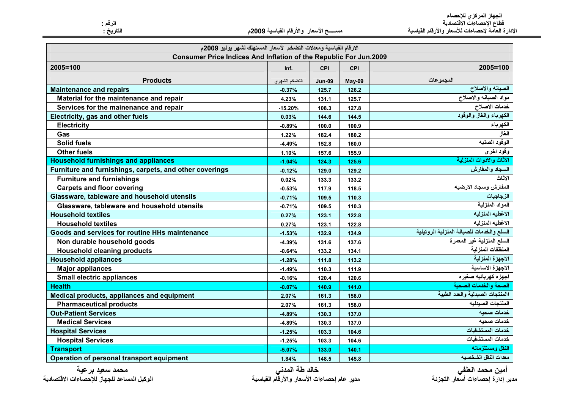الجهاز المركزي للإحصاء<br>قطاع الإحصاءات الاقتصادية<br>الإدارة العامة لإحصاءات للأسعار والأرقام القياسية

الرقم :<br>التاريخ :

مسســـح الأسعار والأرقام القياسية 2009م

| الارقام القياسية ومعدلات التضخم لأسعار المستهلك لشهر يونيو 2009م  |               |               |            |                                           |  |
|-------------------------------------------------------------------|---------------|---------------|------------|-------------------------------------------|--|
| Consumer Price Indices And Inflation of the Republic For Jun.2009 |               |               |            |                                           |  |
| 2005=100                                                          | Inf.          | <b>CPI</b>    | <b>CPI</b> | 2005=100                                  |  |
| <b>Products</b>                                                   | التضخم الشهري | <b>Jun-09</b> | May-09     | المجموعات                                 |  |
| <b>Maintenance and repairs</b>                                    | $-0.37%$      | 125.7         | 126.2      | الصيانه والاصلاح                          |  |
| Material for the maintenance and repair                           | 4.23%         | 131.1         | 125.7      | مواد الصيانه والاصلاح                     |  |
| Services for the mainenance and repair                            | $-15.20%$     | 108.3         | 127.8      | خدمات الاصلاح                             |  |
| Electricity, gas and other fuels                                  | 0.03%         | 144.6         | 144.5      | الكهرباء والغاز والوقود                   |  |
| <b>Electricity</b>                                                | $-0.89%$      | 100.0         | 100.9      | الكهرباء                                  |  |
| Gas                                                               | 1.22%         | 182.4         | 180.2      | الغاز                                     |  |
| <b>Solid fuels</b>                                                | $-4.49%$      | 152.8         | 160.0      | الوقود الصلبه                             |  |
| <b>Other fuels</b>                                                | 1.10%         | 157.6         | 155.9      | وقود اخرى                                 |  |
| <b>Household furnishings and appliances</b>                       | $-1.04%$      | 124.3         | 125.6      | الاثاث والادوات المنزلية                  |  |
| Furniture and furnishings, carpets, and other coverings           | $-0.12%$      | 129.0         | 129.2      | السجاد والمفارش                           |  |
| <b>Furniture and furnishings</b>                                  | 0.02%         | 133.3         | 133.2      | الاثاث                                    |  |
| <b>Carpets and floor covering</b>                                 | $-0.53%$      | 117.9         | 118.5      | المفارش وسجاد الارضيه                     |  |
| Glassware, tableware and household utensils                       | $-0.71%$      | 109.5         | 110.3      | الزجاجيات                                 |  |
| Glassware, tableware and household utensils                       | $-0.71%$      | 109.5         | 110.3      | المواد المنزلية                           |  |
| <b>Household textiles</b>                                         | 0.27%         | 123.1         | 122.8      | الاغطيه المنزليه                          |  |
| <b>Household textiles</b>                                         | 0.27%         | 123.1         | 122.8      | الاغطيه المنزليه                          |  |
| Goods and services for routine HHs maintenance                    | $-1.53%$      | 132.9         | 134.9      | السلع والخدمات للصيانة المنزلية الروتينية |  |
| Non durable household goods                                       | $-4.39%$      | 131.6         | 137.6      | السلع المنزلية غير المعمرة                |  |
| <b>Household cleaning products</b>                                | $-0.64%$      | 133.2         | 134.1      | المنظفات المنزلية                         |  |
| <b>Household appliances</b>                                       | $-1.28%$      | 111.8         | 113.2      | الاجهزة المنزلية                          |  |
| <b>Major appliances</b>                                           | $-1.49%$      | 110.3         | 111.9      | الاجهزة الاساسية                          |  |
| <b>Small electric appliances</b>                                  | $-0.16%$      | 120.4         | 120.6      | اجهزه كهربائيه صغيره                      |  |
| <b>Health</b>                                                     | $-0.07%$      | 140.9         | 141.0      | الصحة والخدمات الصحية                     |  |
| Medical products, appliances and equipment                        | 2.07%         | 161.3         | 158.0      | االمنتجات الصيدلية والعدد الطبية          |  |
| <b>Pharmaceutical products</b>                                    | 2.07%         | 161.3         | 158.0      | المنتجات الصيدليه                         |  |
| <b>Out-Patient Services</b>                                       | $-4.89%$      | 130.3         | 137.0      | خدمات صحيه                                |  |
| <b>Medical Services</b>                                           | -4.89%        | 130.3         | 137.0      | خدمات صحيه                                |  |
| <b>Hospital Services</b>                                          | $-1.25%$      | 103.3         | 104.6      | خدمات المستشفيات                          |  |
| <b>Hospital Services</b>                                          | $-1.25%$      | 103.3         | 104.6      | خدمات المستشفيات                          |  |
| <b>Transport</b>                                                  | $-5.07%$      | 133.0         | 140.1      | النقل ومستلزماته                          |  |
| Operation of personal transport equipment                         | 1.84%         | 148.5         | 145.8      | معدات النقل الشخصيه                       |  |

محمد سعيد برعية الوكيل المساعد للجهاز للإحصاءات الافتصادية خالد طة المدني<br>مدير عام إحصاءات الأسعار والأرقام القياسية

أمين محمد العلفي<br>مدير إدارة إحصاءات أسعار التجزئة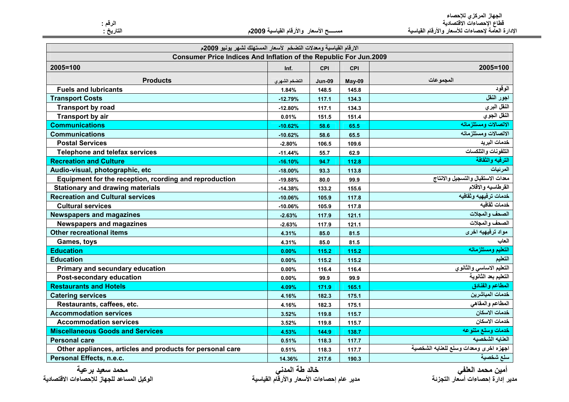الجهاز المركزي للإحصاء<br>قطاع الإحصاءات الاقتصادية<br>الإدارة العامة لإحصاءات للأسعار والأرقام القياسية

مســــــح الأسعار والأرقام القياسية 2009م

|  | الرقم |         |
|--|-------|---------|
|  |       | التاريخ |

| الارقام القياسية ومعدلات التضخم لأسعار المستهلك لشهر يونيو 2009م         |               |               |        |                                        |
|--------------------------------------------------------------------------|---------------|---------------|--------|----------------------------------------|
| <b>Consumer Price Indices And Inflation of the Republic For Jun.2009</b> |               |               |        |                                        |
| 2005=100                                                                 | Inf.          | <b>CPI</b>    | CPI    | 2005=100                               |
| <b>Products</b>                                                          | التضخم الشهري | <b>Jun-09</b> | May-09 | المجموعات                              |
| <b>Fuels and lubricants</b>                                              | 1.84%         | 148.5         | 145.8  | الوقود                                 |
| <b>Transport Costs</b>                                                   | $-12.79%$     | 117.1         | 134.3  | اجور النقل                             |
| <b>Transport by road</b>                                                 | $-12.80%$     | 117.1         | 134.3  | النقل البري                            |
| Transport by air                                                         | 0.01%         | 151.5         | 151.4  | النقل الجوي                            |
| <b>Communications</b>                                                    | $-10.62%$     | 58.6          | 65.5   | الاتصالات ومستلزماته                   |
| <b>Communications</b>                                                    | $-10.62%$     | 58.6          | 65.5   | الاتصالات ومستلزماته                   |
| <b>Postal Services</b>                                                   | $-2.80%$      | 106.5         | 109.6  | خدمات البريد                           |
| Telephone and telefax services                                           | $-11.44%$     | 55.7          | 62.9   | التلفونات والتلكسات                    |
| <b>Recreation and Culture</b>                                            | $-16.10%$     | 94.7          | 112.8  | الترفيه والثقافة                       |
| Audio-visual, photographic, etc                                          | $-18.00%$     | 93.3          | 113.8  | المرئيات                               |
| Equipment for the reception, rcording and reproduction                   | $-19.88%$     | 80.0          | 99.9   | معدات الاستقبال والتسجيل والانتاج      |
| <b>Stationary and drawing materials</b>                                  | $-14.38%$     | 133.2         | 155.6  | القرطاسيه والاقلام                     |
| <b>Recreation and Cultural services</b>                                  | $-10.06%$     | 105.9         | 117.8  | خدمات ترفيهيه وثقافيه                  |
| <b>Cultural services</b>                                                 | $-10.06%$     | 105.9         | 117.8  | خدمات ثقافيه                           |
| <b>Newspapers and magazines</b>                                          | $-2.63%$      | 117.9         | 121.1  | الصحف والمجلات                         |
| <b>Newspapers and magazines</b>                                          | $-2.63%$      | 117.9         | 121.1  | الصحف والمجلات                         |
| <b>Other recreational items</b>                                          | 4.31%         | 85.0          | 81.5   | مواد ترفيهيه اخرى                      |
| Games, toys                                                              | 4.31%         | 85.0          | 81.5   | العاب                                  |
| <b>Education</b>                                                         | 0.00%         | 115.2         | 115.2  | التعليم ومستلزماته                     |
| <b>Education</b>                                                         | 0.00%         | 115.2         | 115.2  | التعليم                                |
| Primary and secundary education                                          | 0.00%         | 116.4         | 116.4  | التعليم الاساسى والثانوي               |
| Post-secondary education                                                 | 0.00%         | 99.9          | 99.9   | التعليم بعد الثانوية                   |
| <b>Restaurants and Hotels</b>                                            | 4.09%         | 171.9         | 165.1  | المطاعم والفنادق                       |
| <b>Catering services</b>                                                 | 4.16%         | 182.3         | 175.1  | خدمات المباشرين                        |
| Restaurants, caffees, etc.                                               | 4.16%         | 182.3         | 175.1  | المطاعم والمقاهي                       |
| <b>Accommodation services</b>                                            | 3.52%         | 119.8         | 115.7  | خدمات الاسكان                          |
| <b>Accommodation services</b>                                            | 3.52%         | 119.8         | 115.7  | خدمات الاسكان                          |
| <b>Miscellaneous Goods and Services</b>                                  | 4.53%         | 144.9         | 138.7  | خدمات وسلع متنوعه                      |
| <b>Personal care</b>                                                     | 0.51%         | 118.3         | 117.7  | العنايه الشخصيه                        |
| Other appliances, articles and products for personal care                | 0.51%         | 118.3         | 117.7  | اجهزه اخرى ومعدات وسلع للعنايه الشخصية |
| Personal Effects, n.e.c.                                                 | 14.36%        | 217.6         | 190.3  | سلع شخصية                              |

محمد سعيد برعية الوكيل المساعد للجهاز للإحصاءات الافتصادية خالد طة المدني<br>مدير عام إحصاءات الأسعار والأرقام القياسية

أمين محمد العلفي<br>مدير إدارة إحصاءات أسعار التجزئة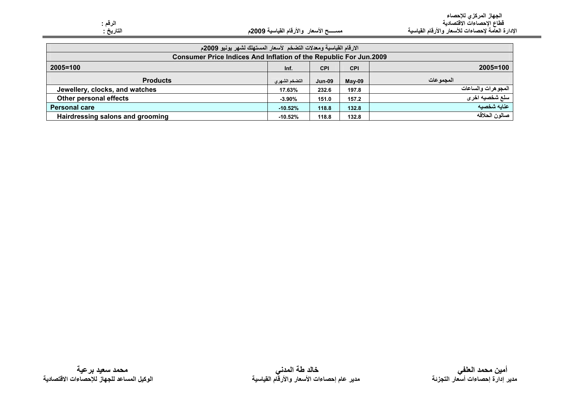| الارقام القياسية ومعدلات التضخم لأسعار المستهلك لشهر يونيو 2009م         |               |               |            |                    |
|--------------------------------------------------------------------------|---------------|---------------|------------|--------------------|
| <b>Consumer Price Indices And Inflation of the Republic For Jun.2009</b> |               |               |            |                    |
| $2005 = 100$                                                             | Inf.          | <b>CPI</b>    | <b>CPI</b> | 2005=100           |
| <b>Products</b>                                                          | التضخم الشهرى | <b>Jun-09</b> | $May-09$   | المجمو عات         |
| Jewellery, clocks, and watches                                           | 17.63%        | 232.6         | 197.8      | المجوهرات والساعات |
| Other personal effects                                                   | $-3.90%$      | 151.0         | 157.2      | سلع شخصيه اخرى     |
| <b>Personal care</b>                                                     | $-10.52%$     | 118.8         | 132.8      | عنايه شخصيه        |
| Hairdressing salons and grooming                                         | $-10.52%$     | 118.8         | 132.8      | صالون الحلاقه      |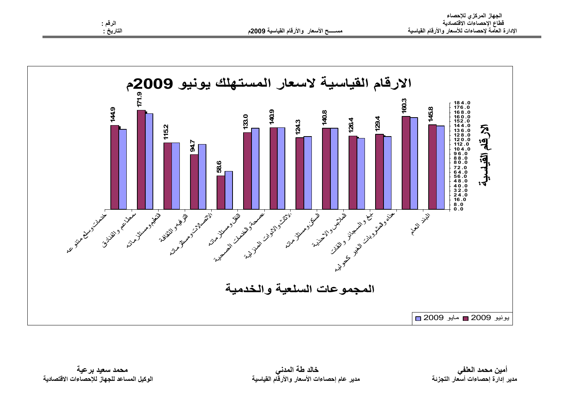



محمد سعيد برعية الوكيل المساعد للجهاز للإحصاءات الاقتصادية